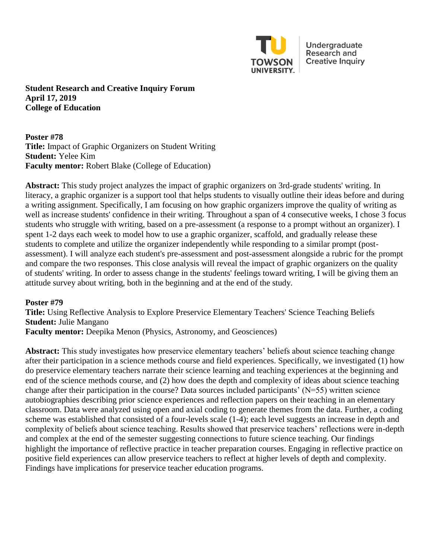

Undergraduate **Research and Creative Inquiry** 

**Student Research and Creative Inquiry Forum April 17, 2019 College of Education** 

**Poster #78 Title:** Impact of Graphic Organizers on Student Writing **Student:** Yelee Kim **Faculty mentor:** Robert Blake (College of Education)

**Abstract:** This study project analyzes the impact of graphic organizers on 3rd-grade students' writing. In literacy, a graphic organizer is a support tool that helps students to visually outline their ideas before and during a writing assignment. Specifically, I am focusing on how graphic organizers improve the quality of writing as well as increase students' confidence in their writing. Throughout a span of 4 consecutive weeks, I chose 3 focus students who struggle with writing, based on a pre-assessment (a response to a prompt without an organizer). I spent 1-2 days each week to model how to use a graphic organizer, scaffold, and gradually release these students to complete and utilize the organizer independently while responding to a similar prompt (postassessment). I will analyze each student's pre-assessment and post-assessment alongside a rubric for the prompt and compare the two responses. This close analysis will reveal the impact of graphic organizers on the quality of students' writing. In order to assess change in the students' feelings toward writing, I will be giving them an attitude survey about writing, both in the beginning and at the end of the study.

## **Poster #79**

**Title:** Using Reflective Analysis to Explore Preservice Elementary Teachers' Science Teaching Beliefs **Student:** Julie Mangano

**Faculty mentor:** Deepika Menon (Physics, Astronomy, and Geosciences)

**Abstract:** This study investigates how preservice elementary teachers' beliefs about science teaching change after their participation in a science methods course and field experiences. Specifically, we investigated (1) how do preservice elementary teachers narrate their science learning and teaching experiences at the beginning and end of the science methods course, and (2) how does the depth and complexity of ideas about science teaching change after their participation in the course? Data sources included participants' (N=55) written science autobiographies describing prior science experiences and reflection papers on their teaching in an elementary classroom. Data were analyzed using open and axial coding to generate themes from the data. Further, a coding scheme was established that consisted of a four-levels scale (1-4); each level suggests an increase in depth and complexity of beliefs about science teaching. Results showed that preservice teachers' reflections were in-depth and complex at the end of the semester suggesting connections to future science teaching. Our findings highlight the importance of reflective practice in teacher preparation courses. Engaging in reflective practice on positive field experiences can allow preservice teachers to reflect at higher levels of depth and complexity. Findings have implications for preservice teacher education programs.